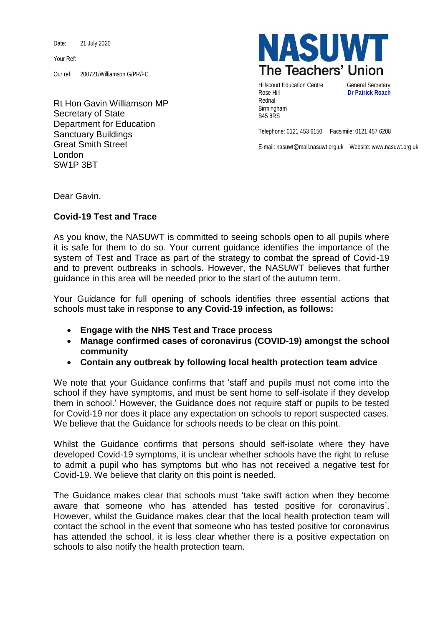Date: 21 July 2020

Your Ref:

Our ref: 200721/Williamson G/PR/FC

Rt Hon Gavin Williamson MP Secretary of State Department for Education Sanctuary Buildings Great Smith Street London SW1P 3BT



Hillscourt Education Centre **General Secretary** Rose Hill **Dr Patrick Roach** Rednal Birmingham B45 8RS

Telephone: 0121 453 6150 Facsimile: 0121 457 6208

E-mail: nasuwt@mail.nasuwt.org.uk Website: www.nasuwt.org.uk

Dear Gavin,

## **Covid-19 Test and Trace**

As you know, the NASUWT is committed to seeing schools open to all pupils where it is safe for them to do so. Your current guidance identifies the importance of the system of Test and Trace as part of the strategy to combat the spread of Covid-19 and to prevent outbreaks in schools. However, the NASUWT believes that further guidance in this area will be needed prior to the start of the autumn term.

Your Guidance for full opening of schools identifies three essential actions that schools must take in response **to any Covid-19 infection, as follows:**

- **Engage with the NHS Test and Trace process**
- **Manage confirmed cases of coronavirus (COVID-19) amongst the school community**
- **Contain any outbreak by following local health protection team advice**

We note that your Guidance confirms that 'staff and pupils must not come into the school if they have symptoms, and must be sent home to self-isolate if they develop them in school.' However, the Guidance does not require staff or pupils to be tested for Covid-19 nor does it place any expectation on schools to report suspected cases. We believe that the Guidance for schools needs to be clear on this point.

Whilst the Guidance confirms that persons should self-isolate where they have developed Covid-19 symptoms, it is unclear whether schools have the right to refuse to admit a pupil who has symptoms but who has not received a negative test for Covid-19. We believe that clarity on this point is needed.

The Guidance makes clear that schools must 'take swift action when they become aware that someone who has attended has tested positive for coronavirus'. However, whilst the Guidance makes clear that the local health protection team will contact the school in the event that someone who has tested positive for coronavirus has attended the school, it is less clear whether there is a positive expectation on schools to also notify the health protection team.